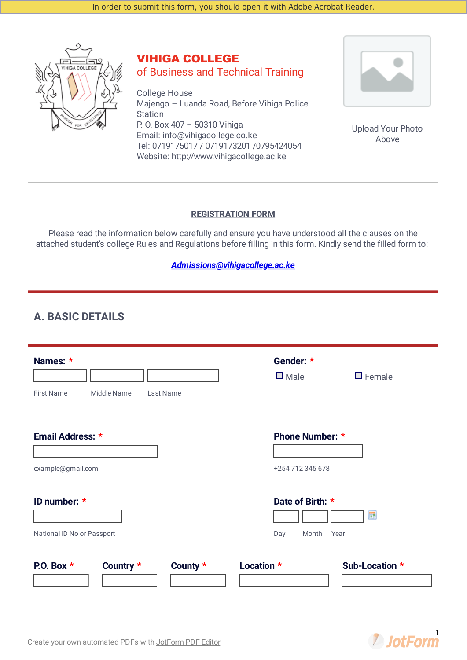

## VIHIGA COLLEGE of Business and Technical Training

College House Majengo – Luanda Road, Before Vihiga Police **Station** P. O. Box 407 – 50310 Vihiga Email: info@vihigacollege.co.ke Tel: 0719175017 / 0719173201 /0795424054 Website: http://www.vihigacollege.ac.ke



Upload Your Photo Above

#### **REGISTRATION FORM**

Please read the information below carefully and ensure you have understood all the clauses on the attached student's college Rules and Regulations before filling in this form. Kindly send the filled form to:

#### *[Admissions@vihigacollege.ac.ke](mailto:Admissions@vihigacollege.ac.ke)*

### **A. BASIC DETAILS**

| Names: *<br><b>First Name</b><br>Middle Name<br>Last Name | Gender: *<br>$\square$ Male<br>$\square$ Female        |
|-----------------------------------------------------------|--------------------------------------------------------|
| Email Address: *<br>example@gmail.com                     | <b>Phone Number: *</b><br>+254 712 345 678             |
| ID number: *<br>National ID No or Passport                | Date of Birth: *<br><b>III</b><br>Month<br>Year<br>Day |
| P.O. Box $*$<br>County $*$<br>Country *<br>Location *     | Sub-Location *                                         |

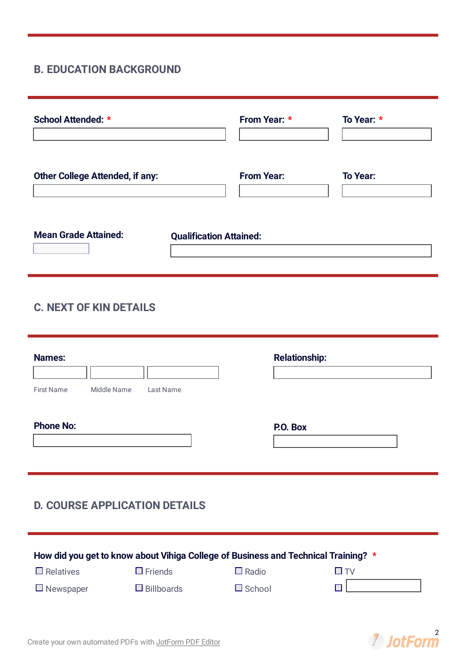## **B. EDUCATION BACKGROUND**

| <b>School Attended: *</b>              |                                | From Year: *      | To Year: *      |
|----------------------------------------|--------------------------------|-------------------|-----------------|
| <b>Other College Attended, if any:</b> |                                | <b>From Year:</b> | <b>To Year:</b> |
| <b>Mean Grade Attained:</b>            | <b>Qualification Attained:</b> |                   |                 |

# **C. NEXT OF KIN DETAILS**

| <b>Names:</b>     |                                                                                    |               | <b>Relationship:</b> |
|-------------------|------------------------------------------------------------------------------------|---------------|----------------------|
| <b>First Name</b> | Middle Name<br>Last Name                                                           |               |                      |
| <b>Phone No:</b>  |                                                                                    | P.O. Box      |                      |
|                   |                                                                                    |               |                      |
|                   |                                                                                    |               |                      |
|                   | <b>D. COURSE APPLICATION DETAILS</b>                                               |               |                      |
|                   |                                                                                    |               |                      |
|                   | How did you get to know about Vihiga College of Business and Technical Training? * |               |                      |
| $\Box$ Relatives  | $\Box$ Friends                                                                     | $\Box$ Radio  | $\square$ TV         |
| $\Box$ Newspaper  | $\Box$ Billboards                                                                  | $\Box$ School | H                    |

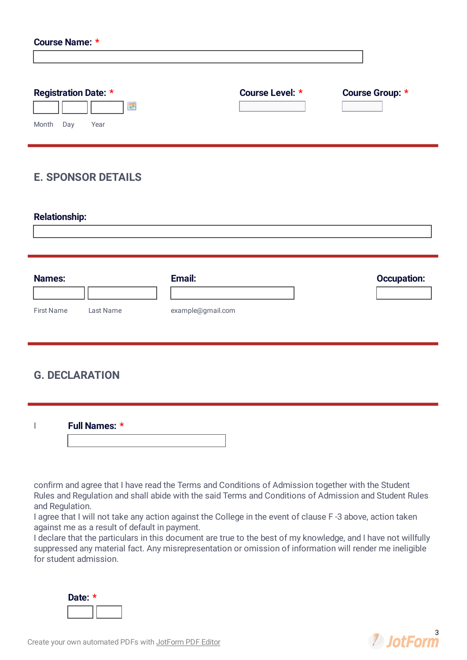| <b>Course Name: *</b>                                                 |                                         |                                            |
|-----------------------------------------------------------------------|-----------------------------------------|--------------------------------------------|
| <b>Registration Date: *</b><br>$\blacksquare$<br>Month<br>Day<br>Year | Course Level: *<br>$\blacktriangledown$ | Course Group: *<br>$\overline{\mathbf{v}}$ |
| <b>E. SPONSOR DETAILS</b>                                             |                                         |                                            |
| <b>Relationship:</b>                                                  |                                         |                                            |
| <b>Names:</b><br><b>First Name</b><br>Last Name                       | Email:<br>example@gmail.com             | <b>Occupation:</b>                         |
|                                                                       |                                         |                                            |

#### **G. DECLARATION**

I **Full Names: \***

confirm and agree that I have read the Terms and Conditions of Admission together with the Student Rules and Regulation and shall abide with the said Terms and Conditions of Admission and Student Rules and Regulation.

I agree that I will not take any action against the College in the event of clause F -3 above, action taken against me as a result of default in payment.

I declare that the particulars in this document are true to the best of my knowledge, and I have not willfully suppressed any material fact. Any misrepresentation or omission of information will render me ineligible for student admission.

| Date: |  |  |
|-------|--|--|
|       |  |  |

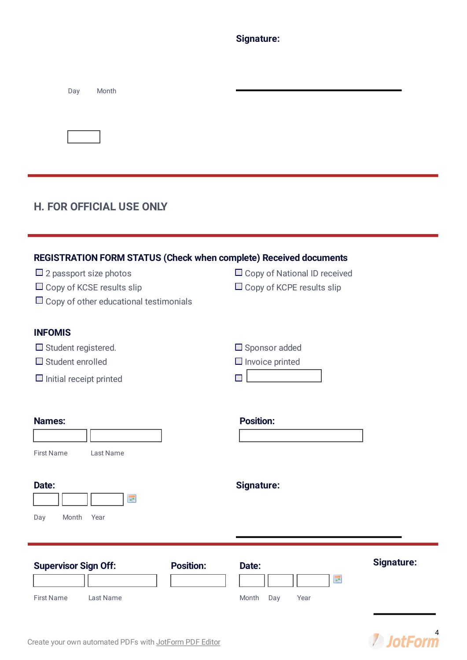**Signature:**

| Day<br>Month                                                                                                                                                                            |                                                                      |
|-----------------------------------------------------------------------------------------------------------------------------------------------------------------------------------------|----------------------------------------------------------------------|
|                                                                                                                                                                                         |                                                                      |
| <b>H. FOR OFFICIAL USE ONLY</b>                                                                                                                                                         |                                                                      |
| REGISTRATION FORM STATUS (Check when complete) Received documents<br>$\Box$ 2 passport size photos<br>$\Box$ Copy of KCSE results slip<br>$\Box$ Copy of other educational testimonials | □ Copy of National ID received<br>$\Box$ Copy of KCPE results slip   |
| <b>INFOMIS</b><br>$\Box$ Student registered.<br>$\Box$ Student enrolled<br>$\Box$ Initial receipt printed                                                                               | $\Box$ Sponsor added<br>$\Box$ Invoice printed<br>П                  |
| <b>Names:</b><br><b>First Name</b><br>Last Name                                                                                                                                         | <b>Position:</b>                                                     |
| Date:<br>噩<br>Month<br>Year<br>Day                                                                                                                                                      | <b>Signature:</b>                                                    |
| <b>Supervisor Sign Off:</b><br><b>Position:</b><br><b>First Name</b><br>Last Name                                                                                                       | <b>Signature:</b><br>Date:<br>$\blacksquare$<br>Month<br>Day<br>Year |